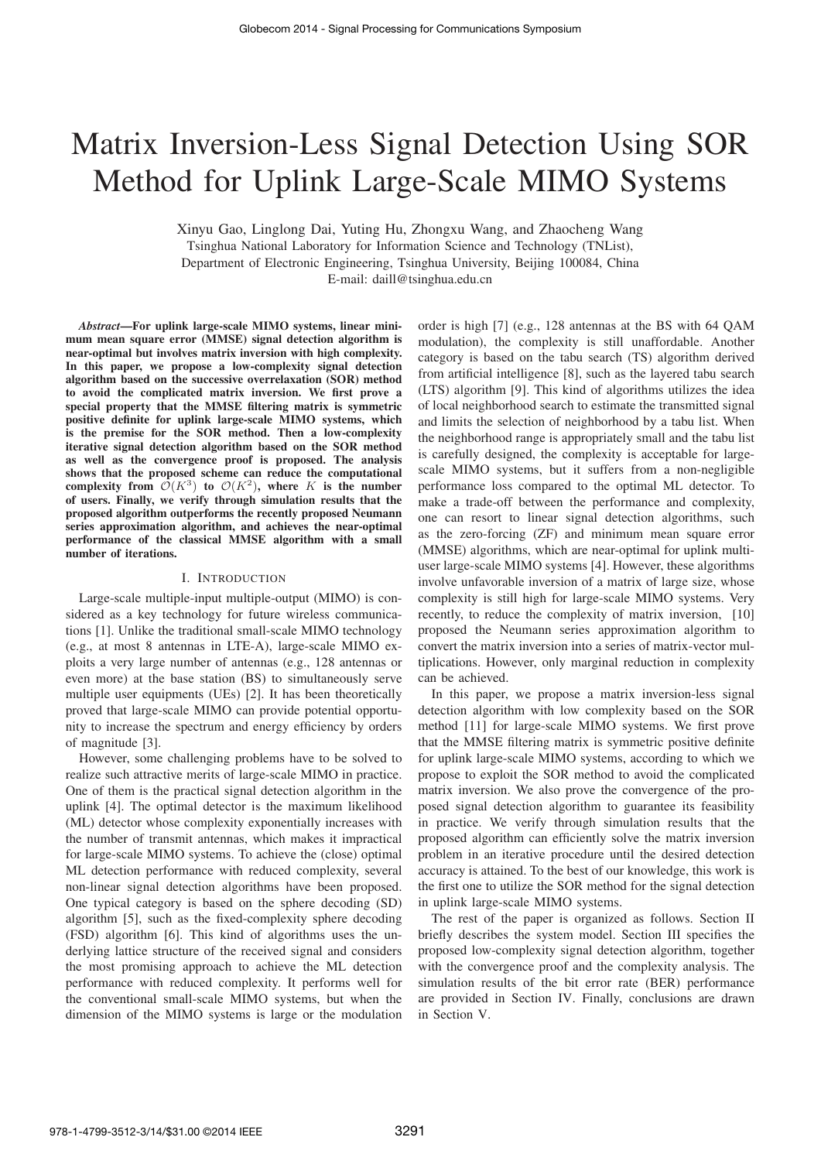# Matrix Inversion-Less Signal Detection Using SOR Method for Uplink Large-Scale MIMO Systems

Xinyu Gao, Linglong Dai, Yuting Hu, Zhongxu Wang, and Zhaocheng Wang

Tsinghua National Laboratory for Information Science and Technology (TNList),

Department of Electronic Engineering, Tsinghua University, Beijing 100084, China

E-mail: daill@tsinghua.edu.cn

*Abstract*—For uplink large-scale MIMO systems, linear minimum mean square error (MMSE) signal detection algorithm is near-optimal but involves matrix inversion with high complexity. In this paper, we propose a low-complexity signal detection algorithm based on the successive overrelaxation (SOR) method to avoid the complicated matrix inversion. We first prove a special property that the MMSE filtering matrix is symmetric positive definite for uplink large-scale MIMO systems, which is the premise for the SOR method. Then a low-complexity iterative signal detection algorithm based on the SOR method as well as the convergence proof is proposed. The analysis shows that the proposed scheme can reduce the computational complexity from  $\mathcal{O}(K^3)$  to  $\mathcal{O}(K^2)$ , where K is the number of users. Finally, we verify through simulation results that the proposed algorithm outperforms the recently proposed Neumann series approximation algorithm, and achieves the near-optimal performance of the classical MMSE algorithm with a small number of iterations.

#### I. INTRODUCTION

Large-scale multiple-input multiple-output (MIMO) is considered as a key technology for future wireless communications [1]. Unlike the traditional small-scale MIMO technology (e.g., at most 8 antennas in LTE-A), large-scale MIMO exploits a very large number of antennas (e.g., 128 antennas or even more) at the base station (BS) to simultaneously serve multiple user equipments (UEs) [2]. It has been theoretically proved that large-scale MIMO can provide potential opportunity to increase the spectrum and energy efficiency by orders of magnitude [3].

However, some challenging problems have to be solved to realize such attractive merits of large-scale MIMO in practice. One of them is the practical signal detection algorithm in the uplink [4]. The optimal detector is the maximum likelihood (ML) detector whose complexity exponentially increases with the number of transmit antennas, which makes it impractical for large-scale MIMO systems. To achieve the (close) optimal ML detection performance with reduced complexity, several non-linear signal detection algorithms have been proposed. One typical category is based on the sphere decoding (SD) algorithm [5], such as the fixed-complexity sphere decoding (FSD) algorithm [6]. This kind of algorithms uses the underlying lattice structure of the received signal and considers the most promising approach to achieve the ML detection performance with reduced complexity. It performs well for the conventional small-scale MIMO systems, but when the dimension of the MIMO systems is large or the modulation

order is high [7] (e.g., 128 antennas at the BS with 64 QAM modulation), the complexity is still unaffordable. Another category is based on the tabu search (TS) algorithm derived from artificial intelligence [8], such as the layered tabu search (LTS) algorithm [9]. This kind of algorithms utilizes the idea of local neighborhood search to estimate the transmitted signal and limits the selection of neighborhood by a tabu list. When the neighborhood range is appropriately small and the tabu list is carefully designed, the complexity is acceptable for largescale MIMO systems, but it suffers from a non-negligible performance loss compared to the optimal ML detector. To make a trade-off between the performance and complexity, one can resort to linear signal detection algorithms, such as the zero-forcing (ZF) and minimum mean square error (MMSE) algorithms, which are near-optimal for uplink multiuser large-scale MIMO systems [4]. However, these algorithms involve unfavorable inversion of a matrix of large size, whose complexity is still high for large-scale MIMO systems. Very recently, to reduce the complexity of matrix inversion, [10] proposed the Neumann series approximation algorithm to convert the matrix inversion into a series of matrix-vector multiplications. However, only marginal reduction in complexity can be achieved.

In this paper, we propose a matrix inversion-less signal detection algorithm with low complexity based on the SOR method [11] for large-scale MIMO systems. We first prove that the MMSE filtering matrix is symmetric positive definite for uplink large-scale MIMO systems, according to which we propose to exploit the SOR method to avoid the complicated matrix inversion. We also prove the convergence of the proposed signal detection algorithm to guarantee its feasibility in practice. We verify through simulation results that the proposed algorithm can efficiently solve the matrix inversion problem in an iterative procedure until the desired detection accuracy is attained. To the best of our knowledge, this work is the first one to utilize the SOR method for the signal detection in uplink large-scale MIMO systems.

The rest of the paper is organized as follows. Section II briefly describes the system model. Section III specifies the proposed low-complexity signal detection algorithm, together with the convergence proof and the complexity analysis. The simulation results of the bit error rate (BER) performance are provided in Section IV. Finally, conclusions are drawn in Section V.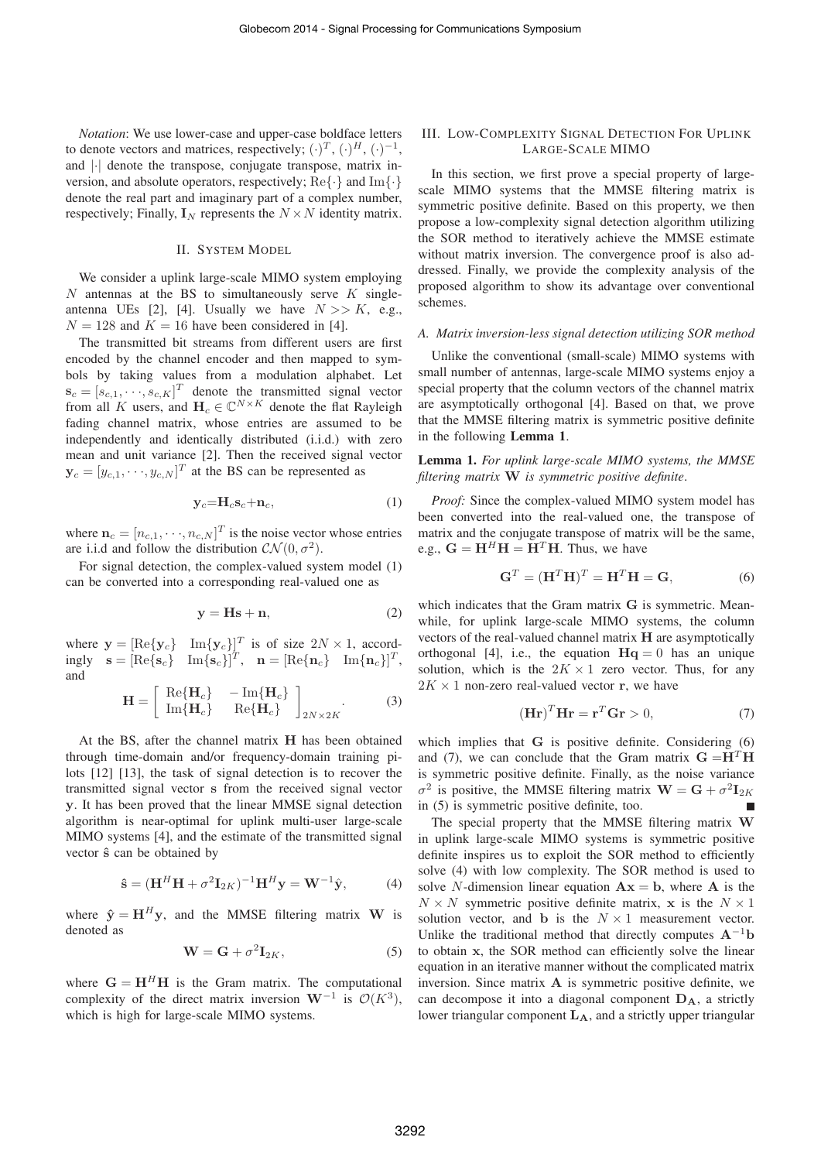*Notation*: We use lower-case and upper-case boldface letters to denote vectors and matrices, respectively;  $(\cdot)^T$ ,  $(\cdot)^H$ ,  $(\cdot)^{-1}$ , and |·| denote the transpose, conjugate transpose, matrix inversion, and absolute operators, respectively;  $\text{Re}\{\cdot\}$  and  $\text{Im}\{\cdot\}$ denote the real part and imaginary part of a complex number, respectively; Finally,  $\mathbf{I}_N$  represents the  $N \times N$  identity matrix.

#### II. SYSTEM MODEL

We consider a uplink large-scale MIMO system employing  $N$  antennas at the BS to simultaneously serve  $K$  singleantenna UEs [2], [4]. Usually we have  $N \gg K$ , e.g.,  $N = 128$  and  $K = 16$  have been considered in [4].

The transmitted bit streams from different users are first encoded by the channel encoder and then mapped to symbols by taking values from a modulation alphabet. Let  $\mathbf{s}_c = [s_{c,1}, \dots, s_{c,K}]^T$  denote the transmitted signal vector from all K users, and  $H_c \in \mathbb{C}^{N \times K}$  denote the flat Rayleigh fading channel matrix, whose entries are assumed to be independently and identically distributed (i.i.d.) with zero mean and unit variance [2]. Then the received signal vector  $\mathbf{y}_c = [y_{c,1}, \dots, y_{c,N}]^T$  at the BS can be represented as

$$
\mathbf{y}_c = \mathbf{H}_c \mathbf{s}_c + \mathbf{n}_c,\tag{1}
$$

where  $\mathbf{n}_c = [n_{c,1}, \dots, n_{c,N}]^T$  is the noise vector whose entries are i.i.d and follow the distribution  $CN(0, \sigma^2)$ .

For signal detection, the complex-valued system model (1) can be converted into a corresponding real-valued one as

$$
y = Hs + n,\t(2)
$$

where  $\mathbf{y} = [\text{Re}\{\mathbf{y}_c\} \quad \text{Im}\{\mathbf{y}_c\}]^T$  is of size  $2N \times 1$ , accord- $\text{insly } \mathbf{s} = [\text{Re}\{\mathbf{s}_c\} \quad \text{Im}\{\mathbf{s}_c\}]^T$ ,  $\mathbf{n} = [\text{Re}\{\mathbf{n}_c\} \quad \text{Im}\{\mathbf{n}_c\}]^T$ , and

$$
\mathbf{H} = \left[ \begin{array}{cc} \text{Re}\{\mathbf{H}_c\} & -\text{Im}\{\mathbf{H}_c\} \\ \text{Im}\{\mathbf{H}_c\} & \text{Re}\{\mathbf{H}_c\} \end{array} \right]_{2N \times 2K} .
$$
 (3)

At the BS, after the channel matrix **H** has been obtained through time-domain and/or frequency-domain training pilots [12] [13], the task of signal detection is to recover the transmitted signal vector **s** from the received signal vector **y**. It has been proved that the linear MMSE signal detection algorithm is near-optimal for uplink multi-user large-scale MIMO systems [4], and the estimate of the transmitted signal vector  $\hat{s}$  can be obtained by

$$
\hat{\mathbf{s}} = (\mathbf{H}^H \mathbf{H} + \sigma^2 \mathbf{I}_{2K})^{-1} \mathbf{H}^H \mathbf{y} = \mathbf{W}^{-1} \hat{\mathbf{y}},
$$
 (4)

where  $\hat{y} = H^H y$ , and the MMSE filtering matrix **W** is denoted as

$$
\mathbf{W} = \mathbf{G} + \sigma^2 \mathbf{I}_{2K},\tag{5}
$$

where  $G = H<sup>H</sup>H$  is the Gram matrix. The computational complexity of the direct matrix inversion **W**<sup>−1</sup> is  $\mathcal{O}(K^3)$ , which is high for large-scale MIMO systems.

## III. LOW-COMPLEXITY SIGNAL DETECTION FOR UPLINK LARGE-SCALE MIMO

In this section, we first prove a special property of largescale MIMO systems that the MMSE filtering matrix is symmetric positive definite. Based on this property, we then propose a low-complexity signal detection algorithm utilizing the SOR method to iteratively achieve the MMSE estimate without matrix inversion. The convergence proof is also addressed. Finally, we provide the complexity analysis of the proposed algorithm to show its advantage over conventional schemes.

### *A. Matrix inversion-less signal detection utilizing SOR method*

Unlike the conventional (small-scale) MIMO systems with small number of antennas, large-scale MIMO systems enjoy a special property that the column vectors of the channel matrix are asymptotically orthogonal [4]. Based on that, we prove that the MMSE filtering matrix is symmetric positive definite in the following Lemma 1.

Lemma 1. *For uplink large-scale MIMO systems, the MMSE filtering matrix* **W** *is symmetric positive definite*.

*Proof:* Since the complex-valued MIMO system model has been converted into the real-valued one, the transpose of matrix and the conjugate transpose of matrix will be the same, e.g.,  $G = H^H H = H^T H$ . Thus, we have

$$
\mathbf{G}^T = (\mathbf{H}^T \mathbf{H})^T = \mathbf{H}^T \mathbf{H} = \mathbf{G},\tag{6}
$$

which indicates that the Gram matrix **G** is symmetric. Meanwhile, for uplink large-scale MIMO systems, the column vectors of the real-valued channel matrix **H** are asymptotically orthogonal [4], i.e., the equation  $Hq = 0$  has an unique solution, which is the  $2K \times 1$  zero vector. Thus, for any  $2K \times 1$  non-zero real-valued vector **r**, we have

$$
\left(\mathbf{H}\mathbf{r}\right)^{T}\mathbf{H}\mathbf{r} = \mathbf{r}^{T}\mathbf{G}\mathbf{r} > 0,\tag{7}
$$

which implies that **G** is positive definite. Considering (6) and (7), we can conclude that the Gram matrix  $G = H<sup>T</sup>H$ is symmetric positive definite. Finally, as the noise variance  $\sigma^2$  is positive, the MMSE filtering matrix  $\mathbf{W} = \mathbf{G} + \sigma^2 \mathbf{I}_{2K}$ in (5) is symmetric positive definite, too.

The special property that the MMSE filtering matrix **W** in uplink large-scale MIMO systems is symmetric positive definite inspires us to exploit the SOR method to efficiently solve (4) with low complexity. The SOR method is used to solve N-dimension linear equation  $A x = b$ , where A is the  $N \times N$  symmetric positive definite matrix, x is the  $N \times 1$ solution vector, and **b** is the  $N \times 1$  measurement vector. Unlike the traditional method that directly computes  $A^{-1}b$ to obtain **x**, the SOR method can efficiently solve the linear equation in an iterative manner without the complicated matrix inversion. Since matrix **A** is symmetric positive definite, we can decompose it into a diagonal component **DA**, a strictly lower triangular component **LA**, and a strictly upper triangular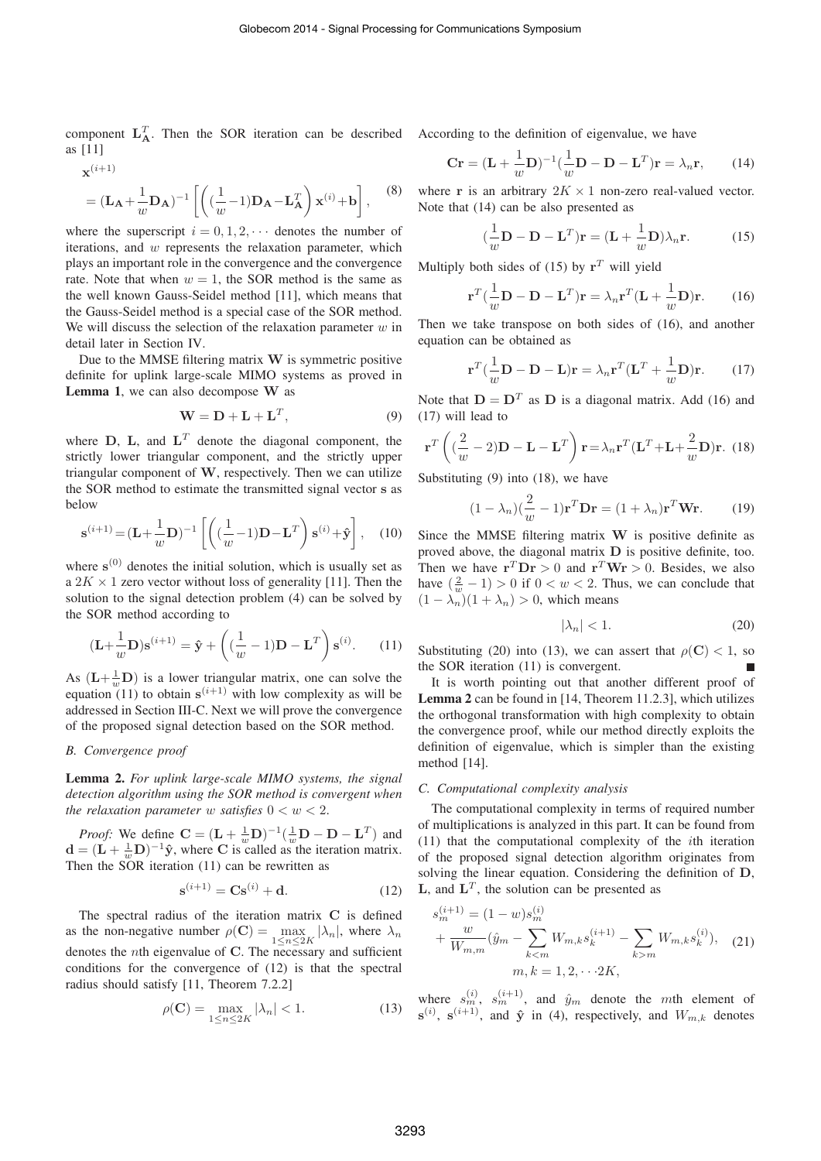component  $L_A^T$ . Then the SOR iteration can be described According to the definition of eigenvalue, we have as [11]

$$
\mathbf{x}^{(i+1)} = (\mathbf{L}_{\mathbf{A}} + \frac{1}{w} \mathbf{D}_{\mathbf{A}})^{-1} \left[ \left( (\frac{1}{w} - 1) \mathbf{D}_{\mathbf{A}} - \mathbf{L}_{\mathbf{A}}^T \right) \mathbf{x}^{(i)} + \mathbf{b} \right],
$$
 (8)

where the superscript  $i = 0, 1, 2, \cdots$  denotes the number of iterations, and  $w$  represents the relaxation parameter, which plays an important role in the convergence and the convergence rate. Note that when  $w = 1$ , the SOR method is the same as the well known Gauss-Seidel method [11], which means that the Gauss-Seidel method is a special case of the SOR method. We will discuss the selection of the relaxation parameter  $w$  in detail later in Section IV.

Due to the MMSE filtering matrix **W** is symmetric positive definite for uplink large-scale MIMO systems as proved in Lemma 1, we can also decompose **W** as

$$
\mathbf{W} = \mathbf{D} + \mathbf{L} + \mathbf{L}^T,\tag{9}
$$

where  $D$ ,  $L$ , and  $L<sup>T</sup>$  denote the diagonal component, the strictly lower triangular component, and the strictly upper triangular component of **W**, respectively. Then we can utilize the SOR method to estimate the transmitted signal vector **s** as below

$$
\mathbf{s}^{(i+1)} = (\mathbf{L} + \frac{1}{w}\mathbf{D})^{-1} \left[ \left( (\frac{1}{w} - 1)\mathbf{D} - \mathbf{L}^T \right) \mathbf{s}^{(i)} + \hat{\mathbf{y}} \right], \quad (10)
$$

where  $s^{(0)}$  denotes the initial solution, which is usually set as a  $2K \times 1$  zero vector without loss of generality [11]. Then the solution to the signal detection problem (4) can be solved by the SOR method according to

$$
(\mathbf{L} + \frac{1}{w}\mathbf{D})\mathbf{s}^{(i+1)} = \hat{\mathbf{y}} + \left((\frac{1}{w} - 1)\mathbf{D} - \mathbf{L}^T\right)\mathbf{s}^{(i)}.
$$
 (11)

As  $(L + \frac{1}{w}D)$  is a lower triangular matrix, one can solve the equation  $(11)$  to obtain  $s^{(i+1)}$  with low complexity as will be addressed in Section III-C. Next we will prove the convergence of the proposed signal detection based on the SOR method.

## *B. Convergence proof*

Lemma 2. *For uplink large-scale MIMO systems, the signal detection algorithm using the SOR method is convergent when the relaxation parameter* w *satisfies*  $0 < w < 2$ .

*Proof:* We define  $\mathbf{C} = (\mathbf{L} + \frac{1}{w}\mathbf{D})^{-1}(\frac{1}{w}\mathbf{D} - \mathbf{D} - \mathbf{L}^T)$  and  $\mathbf{d} = (\mathbf{L} + \frac{1}{w}\mathbf{D})^{-1}\hat{\mathbf{y}}$ , where **C** is called as the iteration matrix. Then the SOR iteration (11) can be rewritten as

$$
\mathbf{s}^{(i+1)} = \mathbf{C}\mathbf{s}^{(i)} + \mathbf{d}.\tag{12}
$$

The spectral radius of the iteration matrix **C** is defined as the non-negative number  $\rho(C) = \max_{1 \le n \le 2K} |\lambda_n|$ , where  $\lambda_n$ denotes the nth eigenvalue of **C**. The necessary and sufficient conditions for the convergence of (12) is that the spectral radius should satisfy [11, Theorem 7.2.2]

$$
\rho(\mathbf{C}) = \max_{1 \le n \le 2K} |\lambda_n| < 1. \tag{13}
$$

$$
\mathbf{Cr} = (\mathbf{L} + \frac{1}{w}\mathbf{D})^{-1}(\frac{1}{w}\mathbf{D} - \mathbf{D} - \mathbf{L}^T)\mathbf{r} = \lambda_n \mathbf{r},\qquad(14)
$$

where **r** is an arbitrary  $2K \times 1$  non-zero real-valued vector. Note that (14) can be also presented as

$$
(\frac{1}{w}\mathbf{D} - \mathbf{D} - \mathbf{L}^T)\mathbf{r} = (\mathbf{L} + \frac{1}{w}\mathbf{D})\lambda_n \mathbf{r}.
$$
 (15)

Multiply both sides of (15) by  $r<sup>T</sup>$  will yield

$$
\mathbf{r}^T(\frac{1}{w}\mathbf{D} - \mathbf{D} - \mathbf{L}^T)\mathbf{r} = \lambda_n \mathbf{r}^T(\mathbf{L} + \frac{1}{w}\mathbf{D})\mathbf{r}.
$$
 (16)

Then we take transpose on both sides of (16), and another equation can be obtained as

$$
\mathbf{r}^T(\frac{1}{w}\mathbf{D} - \mathbf{D} - \mathbf{L})\mathbf{r} = \lambda_n \mathbf{r}^T(\mathbf{L}^T + \frac{1}{w}\mathbf{D})\mathbf{r}.
$$
 (17)

Note that  $D = D<sup>T</sup>$  as D is a diagonal matrix. Add (16) and (17) will lead to

$$
\mathbf{r}^T \left( \left( \frac{2}{w} - 2 \right) \mathbf{D} - \mathbf{L} - \mathbf{L}^T \right) \mathbf{r} = \lambda_n \mathbf{r}^T (\mathbf{L}^T + \mathbf{L} + \frac{2}{w} \mathbf{D}) \mathbf{r}.
$$
 (18)

Substituting (9) into (18), we have

$$
(1 - \lambda_n)(\frac{2}{w} - 1)\mathbf{r}^T \mathbf{D} \mathbf{r} = (1 + \lambda_n)\mathbf{r}^T \mathbf{W} \mathbf{r}.
$$
 (19)

Since the MMSE filtering matrix **W** is positive definite as proved above, the diagonal matrix **D** is positive definite, too. Then we have  $\mathbf{r}^T \mathbf{D} \mathbf{r} > 0$  and  $\mathbf{r}^T \mathbf{W} \mathbf{r} > 0$ . Besides, we also have  $(\frac{2}{w} - 1) > 0$  if  $0 < w < 2$ . Thus, we can conclude that  $(1 - \lambda_n)(1 + \lambda_n) > 0$ , which means

$$
|\lambda_n| < 1. \tag{20}
$$

Substituting (20) into (13), we can assert that  $\rho(C) < 1$ , so the SOR iteration (11) is convergent.

It is worth pointing out that another different proof of Lemma 2 can be found in [14, Theorem 11.2.3], which utilizes the orthogonal transformation with high complexity to obtain the convergence proof, while our method directly exploits the definition of eigenvalue, which is simpler than the existing method [14].

#### *C. Computational complexity analysis*

The computational complexity in terms of required number of multiplications is analyzed in this part. It can be found from (11) that the computational complexity of the ith iteration of the proposed signal detection algorithm originates from solving the linear equation. Considering the definition of **D**, **L**, and  $L^T$ , the solution can be presented as

$$
s_m^{(i+1)} = (1 - w)s_m^{(i)}
$$
  
+ 
$$
\frac{w}{W_{m,m}} (\hat{y}_m - \sum_{k < m} W_{m,k} s_k^{(i+1)} - \sum_{k > m} W_{m,k} s_k^{(i)}), \quad (21)
$$
  

$$
m, k = 1, 2, \dots 2K,
$$

where  $s_m^{(i)}$ ,  $s_m^{(i+1)}$ , and  $\hat{y}_m$  denote the mth element of  $\mathbf{s}^{(i)}$ ,  $\mathbf{s}^{(i+1)}$ , and  $\hat{\mathbf{y}}$  in (4), respectively, and  $W_{m,k}$  denotes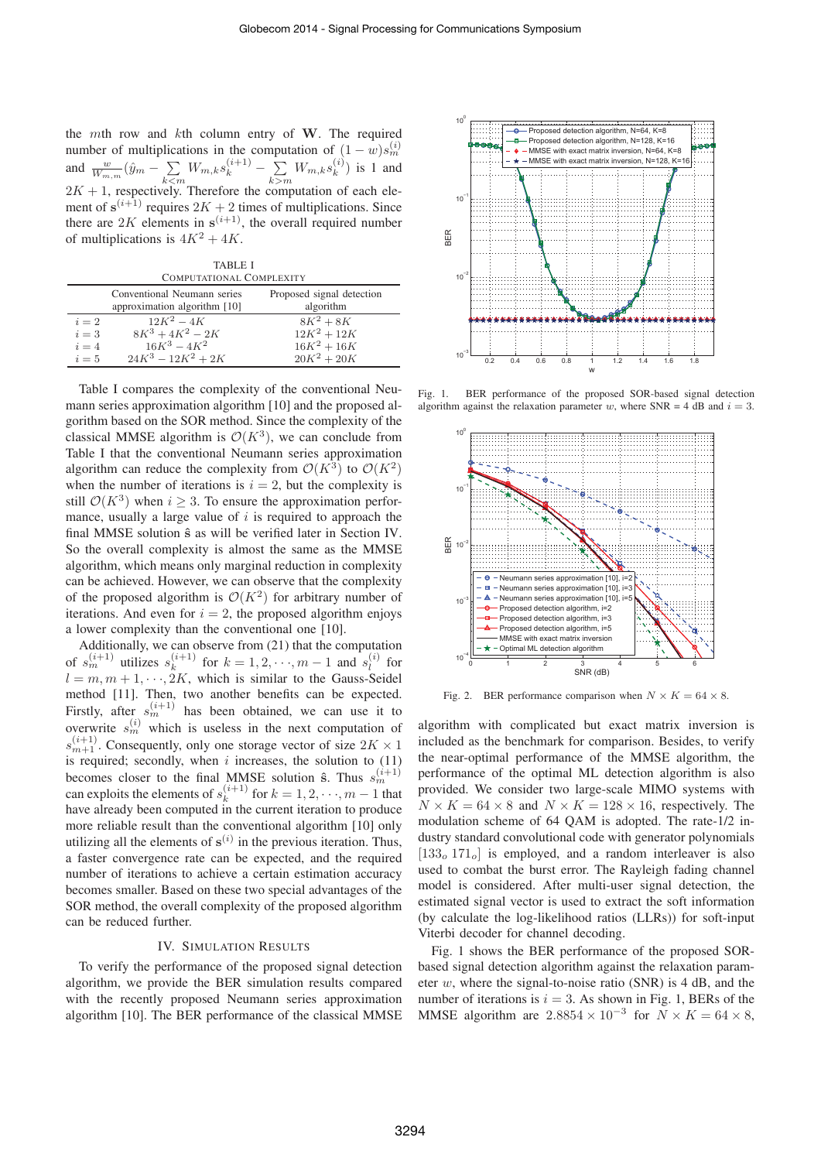the mth row and kth column entry of **W**. The required number of multiplications in the computation of  $(1 - w)s_m^{(i)}$ <br>and  $\frac{w}{W_{m,m}}(\hat{y}_m - \sum_{k \le m} W_{m,k}s_k^{(i+1)} - \sum_{k > m} W_{m,k}s_k^{(i)})$  is 1 and  $2K + 1$ , respectively. Therefore the computation of each element of  $s^{(i+1)}$  requires  $2K + 2$  times of multiplications. Since there are  $2K$  elements in  $s^{(i+1)}$ , the overall required number of multiplications is  $4K^2 + 4K$ .

TABLE I COMPUTATIONAL COMPLEXITY

|       | Conventional Neumann series<br>approximation algorithm [10] | Proposed signal detection<br>algorithm |
|-------|-------------------------------------------------------------|----------------------------------------|
| $i=2$ | $12K^2 - 4K$                                                | $8K^2 + 8K$                            |
| $i=3$ | $8K^3 + 4K^2 - 2K$                                          | $12K^2 + 12K$                          |
| $i=4$ | $16K^3 - 4K^2$                                              | $16K^2 + 16K$                          |
| $i=5$ | $24K^3 - 12K^2 + 2K$                                        | $20K^2 + 20K$                          |

Table I compares the complexity of the conventional Neumann series approximation algorithm [10] and the proposed algorithm based on the SOR method. Since the complexity of the classical MMSE algorithm is  $\mathcal{O}(K^3)$ , we can conclude from Table I that the conventional Neumann series approximation algorithm can reduce the complexity from  $\mathcal{O}(K^3)$  to  $\mathcal{O}(K^2)$ when the number of iterations is  $i = 2$ , but the complexity is still  $\mathcal{O}(K^3)$  when  $i \geq 3$ . To ensure the approximation performance, usually a large value of  $i$  is required to approach the final MMSE solution **ˆs** as will be verified later in Section IV. So the overall complexity is almost the same as the MMSE algorithm, which means only marginal reduction in complexity can be achieved. However, we can observe that the complexity of the proposed algorithm is  $\mathcal{O}(K^2)$  for arbitrary number of iterations. And even for  $i = 2$ , the proposed algorithm enjoys a lower complexity than the conventional one [10].

Additionally, we can observe from (21) that the computation of  $s_m^{(i+1)}$  utilizes  $s_k^{(i+1)}$  for  $k = 1, 2, \dots, m-1$  and  $s_l^{(i)}$  for  $l = m, m + 1, \dots, 2K$ , which is similar to the Gauss-Seidel method [11]. Then, two another benefits can be expected. Firstly, after  $s_m^{(i+1)}$  has been obtained, we can use it to overwrite  $s_m^{(i)}$  which is useless in the next computation of  $s_{m+1}^{(i+1)}$ . Consequently, only one storage vector of size  $2K \times 1$ is required; secondly, when  $i$  increases, the solution to  $(11)$ becomes closer to the final MMSE solution  $\hat{\mathbf{s}}$ . Thus  $s_m^{(i+1)}$ can exploits the elements of  $s_k^{(i+1)}$  for  $k = 1, 2, \dots, m - 1$  that have already been computed in the current iteration to produce more reliable result than the conventional algorithm [10] only utilizing all the elements of  $s^{(i)}$  in the previous iteration. Thus, a faster convergence rate can be expected, and the required number of iterations to achieve a certain estimation accuracy becomes smaller. Based on these two special advantages of the SOR method, the overall complexity of the proposed algorithm can be reduced further.

#### IV. SIMULATION RESULTS

To verify the performance of the proposed signal detection algorithm, we provide the BER simulation results compared with the recently proposed Neumann series approximation algorithm [10]. The BER performance of the classical MMSE



Fig. 1. BER performance of the proposed SOR-based signal detection algorithm against the relaxation parameter w, where  $SNR = 4$  dB and  $i = 3$ .



Fig. 2. BER performance comparison when  $N \times K = 64 \times 8$ .

algorithm with complicated but exact matrix inversion is included as the benchmark for comparison. Besides, to verify the near-optimal performance of the MMSE algorithm, the performance of the optimal ML detection algorithm is also provided. We consider two large-scale MIMO systems with  $N \times K = 64 \times 8$  and  $N \times K = 128 \times 16$ , respectively. The modulation scheme of 64 QAM is adopted. The rate-1/2 industry standard convolutional code with generator polynomials  $[133<sub>o</sub> 171<sub>o</sub>]$  is employed, and a random interleaver is also used to combat the burst error. The Rayleigh fading channel model is considered. After multi-user signal detection, the estimated signal vector is used to extract the soft information (by calculate the log-likelihood ratios (LLRs)) for soft-input Viterbi decoder for channel decoding.

Fig. 1 shows the BER performance of the proposed SORbased signal detection algorithm against the relaxation parameter w, where the signal-to-noise ratio (SNR) is  $4 dB$ , and the number of iterations is  $i = 3$ . As shown in Fig. 1, BERs of the MMSE algorithm are  $2.8854 \times 10^{-3}$  for  $N \times K = 64 \times 8$ ,